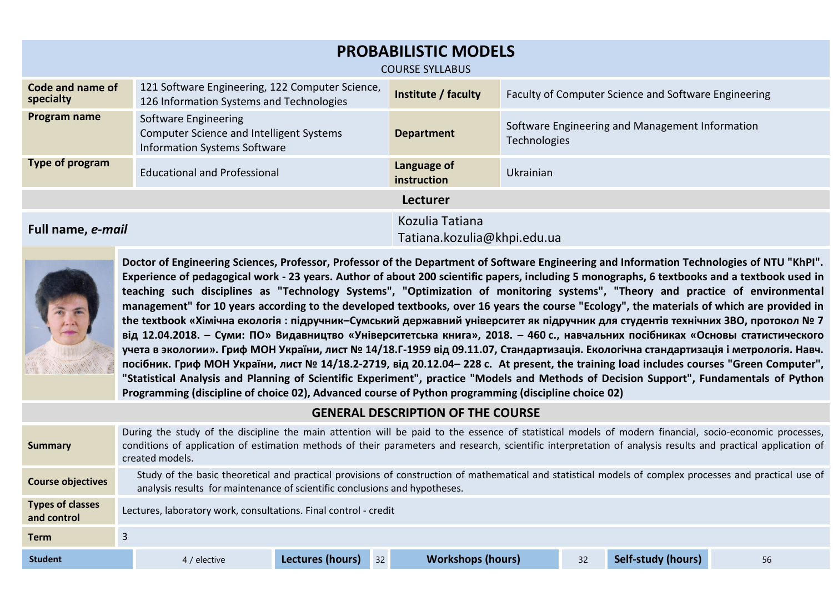| <b>PROBABILISTIC MODELS</b><br><b>COURSE SYLLABUS</b> |                                                                                                                |                                                |                                                                 |  |  |
|-------------------------------------------------------|----------------------------------------------------------------------------------------------------------------|------------------------------------------------|-----------------------------------------------------------------|--|--|
| Code and name of<br>specialty                         | 121 Software Engineering, 122 Computer Science,<br>126 Information Systems and Technologies                    | Institute / faculty                            | Faculty of Computer Science and Software Engineering            |  |  |
| Program name                                          | Software Engineering<br><b>Computer Science and Intelligent Systems</b><br><b>Information Systems Software</b> | <b>Department</b>                              | Software Engineering and Management Information<br>Technologies |  |  |
| Type of program                                       | <b>Educational and Professional</b>                                                                            | Language of<br>instruction                     | Ukrainian                                                       |  |  |
| <b>Lecturer</b>                                       |                                                                                                                |                                                |                                                                 |  |  |
| Full name, e-mail                                     |                                                                                                                | Kozulia Tatiana<br>Tatiana.kozulia@khpi.edu.ua |                                                                 |  |  |



**Doctor of Engineering Sciences, Professor, Professor of the Department of Software Engineering and Information Technologies of NTU "KhPI". Experience of pedagogical work - 23 years. Author of about 200 scientific papers, including 5 monographs, 6 textbooks and a textbook used in teaching such disciplines as "Technology Systems", "Optimization of monitoring systems", "Theory and practice of environmental management" for 10 years according to the developed textbooks, over 16 years the course "Ecology", the materials of which are provided in the textbook «Хімічна екологія : підручник–Сумський державний університет як підручник для студентів технічних ЗВО, протокол № 7 від 12.04.2018. – Суми: ПО» Видавництво «Університетська книга», 2018. – 460 с., навчальних посібниках «Основы статистического учета в экологии». Гриф МОН України, лист № 14/18.Г-1959 від 09.11.07, Стандартизація. Екологічна стандартизація і метрологія. Навч. посібник. Гриф МОН України, лист № 14/18.2-2719, від 20.12.04– 228 с. At present, the training load includes courses "Green Computer", "Statistical Analysis and Planning of Scientific Experiment", practice "Models and Methods of Decision Support", Fundamentals of Python Programming (discipline of choice 02), Advanced course of Python programming (discipline choice 02)**

# **GENERAL DESCRIPTION OF THE COURSE**

| <b>Summary</b>                         | During the study of the discipline the main attention will be paid to the essence of statistical models of modern financial, socio-economic processes,<br>conditions of application of estimation methods of their parameters and research, scientific interpretation of analysis results and practical application of<br>created models. |                        |                          |    |                           |    |
|----------------------------------------|-------------------------------------------------------------------------------------------------------------------------------------------------------------------------------------------------------------------------------------------------------------------------------------------------------------------------------------------|------------------------|--------------------------|----|---------------------------|----|
| <b>Course objectives</b>               | Study of the basic theoretical and practical provisions of construction of mathematical and statistical models of complex processes and practical use of<br>analysis results for maintenance of scientific conclusions and hypotheses.                                                                                                    |                        |                          |    |                           |    |
| <b>Types of classes</b><br>and control | Lectures, laboratory work, consultations. Final control - credit                                                                                                                                                                                                                                                                          |                        |                          |    |                           |    |
| <b>Term</b>                            |                                                                                                                                                                                                                                                                                                                                           |                        |                          |    |                           |    |
| <b>Student</b>                         | 4 / elective                                                                                                                                                                                                                                                                                                                              | 32<br>Lectures (hours) | <b>Workshops (hours)</b> | 32 | <b>Self-study (hours)</b> | 56 |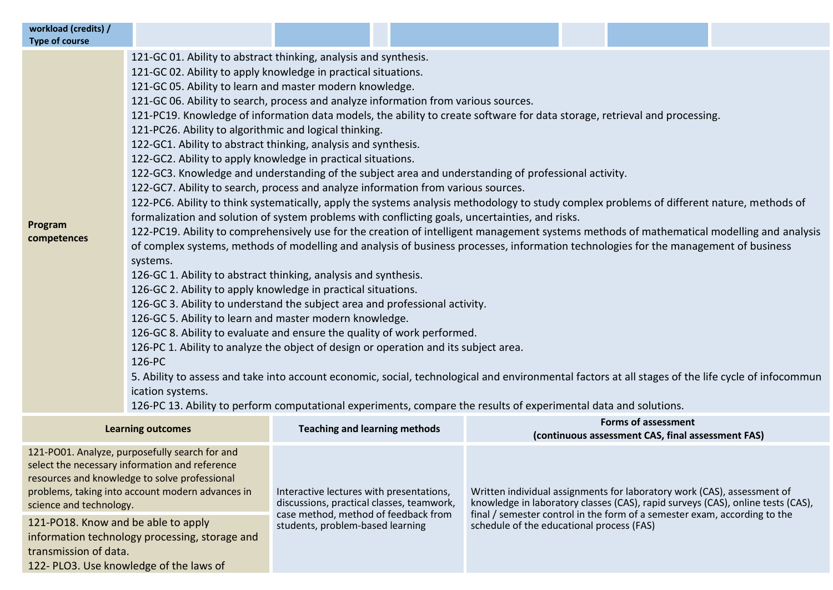| workload (credits) /<br><b>Type of course</b>                                                                                                                                                                                                                                                                                                      |                                                                                                                                                                                                                                                                                                                                                                                                                                                                                                                                                                                                                                                                                                                                                                                                                                                                                                                                                                                                                                                                                                                                                                                                                                                                                                                                                                                                                                                                                                                                                                                                                                                                                                                                                                                                                                                                                                                                                                                                                                                                                                                          |                                                                                                                                                                                                                                                                                                                                                                                                                                                           |  |  |  |                                                                                 |  |
|----------------------------------------------------------------------------------------------------------------------------------------------------------------------------------------------------------------------------------------------------------------------------------------------------------------------------------------------------|--------------------------------------------------------------------------------------------------------------------------------------------------------------------------------------------------------------------------------------------------------------------------------------------------------------------------------------------------------------------------------------------------------------------------------------------------------------------------------------------------------------------------------------------------------------------------------------------------------------------------------------------------------------------------------------------------------------------------------------------------------------------------------------------------------------------------------------------------------------------------------------------------------------------------------------------------------------------------------------------------------------------------------------------------------------------------------------------------------------------------------------------------------------------------------------------------------------------------------------------------------------------------------------------------------------------------------------------------------------------------------------------------------------------------------------------------------------------------------------------------------------------------------------------------------------------------------------------------------------------------------------------------------------------------------------------------------------------------------------------------------------------------------------------------------------------------------------------------------------------------------------------------------------------------------------------------------------------------------------------------------------------------------------------------------------------------------------------------------------------------|-----------------------------------------------------------------------------------------------------------------------------------------------------------------------------------------------------------------------------------------------------------------------------------------------------------------------------------------------------------------------------------------------------------------------------------------------------------|--|--|--|---------------------------------------------------------------------------------|--|
| Program<br>competences                                                                                                                                                                                                                                                                                                                             | 121-GC 01. Ability to abstract thinking, analysis and synthesis.<br>121-GC 02. Ability to apply knowledge in practical situations.<br>121-GC 05. Ability to learn and master modern knowledge.<br>121-GC 06. Ability to search, process and analyze information from various sources.<br>121-PC19. Knowledge of information data models, the ability to create software for data storage, retrieval and processing.<br>121-PC26. Ability to algorithmic and logical thinking.<br>122-GC1. Ability to abstract thinking, analysis and synthesis.<br>122-GC2. Ability to apply knowledge in practical situations.<br>122-GC3. Knowledge and understanding of the subject area and understanding of professional activity.<br>122-GC7. Ability to search, process and analyze information from various sources.<br>122-PC6. Ability to think systematically, apply the systems analysis methodology to study complex problems of different nature, methods of<br>formalization and solution of system problems with conflicting goals, uncertainties, and risks.<br>122-PC19. Ability to comprehensively use for the creation of intelligent management systems methods of mathematical modelling and analysis<br>of complex systems, methods of modelling and analysis of business processes, information technologies for the management of business<br>systems.<br>126-GC 1. Ability to abstract thinking, analysis and synthesis.<br>126-GC 2. Ability to apply knowledge in practical situations.<br>126-GC 3. Ability to understand the subject area and professional activity.<br>126-GC 5. Ability to learn and master modern knowledge.<br>126-GC 8. Ability to evaluate and ensure the quality of work performed.<br>126-PC 1. Ability to analyze the object of design or operation and its subject area.<br>126-PC<br>5. Ability to assess and take into account economic, social, technological and environmental factors at all stages of the life cycle of infocommun<br>ication systems.<br>126-PC 13. Ability to perform computational experiments, compare the results of experimental data and solutions. |                                                                                                                                                                                                                                                                                                                                                                                                                                                           |  |  |  |                                                                                 |  |
|                                                                                                                                                                                                                                                                                                                                                    | <b>Learning outcomes</b>                                                                                                                                                                                                                                                                                                                                                                                                                                                                                                                                                                                                                                                                                                                                                                                                                                                                                                                                                                                                                                                                                                                                                                                                                                                                                                                                                                                                                                                                                                                                                                                                                                                                                                                                                                                                                                                                                                                                                                                                                                                                                                 | <b>Teaching and learning methods</b>                                                                                                                                                                                                                                                                                                                                                                                                                      |  |  |  | <b>Forms of assessment</b><br>(continuous assessment CAS, final assessment FAS) |  |
| 121-PO01. Analyze, purposefully search for and<br>select the necessary information and reference<br>resources and knowledge to solve professional<br>problems, taking into account modern advances in<br>science and technology.<br>121-PO18. Know and be able to apply<br>information technology processing, storage and<br>transmission of data. |                                                                                                                                                                                                                                                                                                                                                                                                                                                                                                                                                                                                                                                                                                                                                                                                                                                                                                                                                                                                                                                                                                                                                                                                                                                                                                                                                                                                                                                                                                                                                                                                                                                                                                                                                                                                                                                                                                                                                                                                                                                                                                                          | Written individual assignments for laboratory work (CAS), assessment of<br>Interactive lectures with presentations,<br>discussions, practical classes, teamwork,<br>knowledge in laboratory classes (CAS), rapid surveys (CAS), online tests (CAS),<br>case method, method of feedback from<br>final / semester control in the form of a semester exam, according to the<br>students, problem-based learning<br>schedule of the educational process (FAS) |  |  |  |                                                                                 |  |

122- PLO3. Use knowledge of the laws of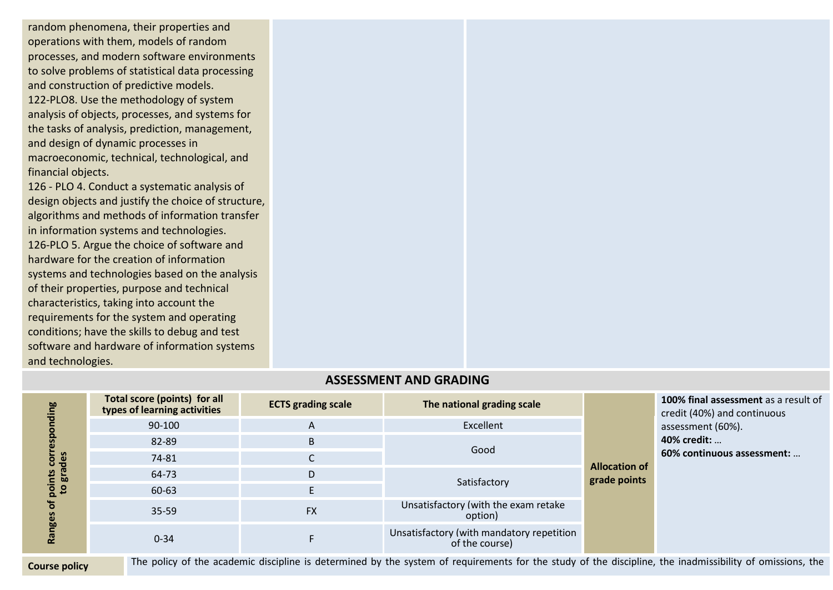random phenomena, their properties and operations with them, models of random processes, and modern software environments to solve problems of statistical data processing and construction of predictive models. 122-PLO8. Use the methodology of system analysis of objects, processes, and systems for the tasks of analysis, prediction, management, and design of dynamic processes in macroeconomic, technical, technological, and financial objects.

126 - PLO 4. Conduct a systematic analysis of design objects and justify the choice of structure, algorithms and methods of information transfer in information systems and technologies. 126-PLO 5. Argue the choice of software and hardware for the creation of information systems and technologies based on the analysis of their properties, purpose and technical characteristics, taking into account the requirements for the system and operating conditions; have the skills to debug and test software and hardware of information systems and technologies.

| ing<br>des<br>gra<br>point<br>$\mathbf{c}$<br>o<br>nges<br><u>na</u> | Total score (points) for all<br>types of learning activities | <b>ECTS grading scale</b> | The national grading scale                                  |                                      | 100% final assessment as a result of<br>credit (40%) and continuous<br>assessment (60%).<br>40% credit:<br>60% continuous assessment: |
|----------------------------------------------------------------------|--------------------------------------------------------------|---------------------------|-------------------------------------------------------------|--------------------------------------|---------------------------------------------------------------------------------------------------------------------------------------|
|                                                                      | 90-100                                                       | A                         | Excellent                                                   | <b>Allocation of</b><br>grade points |                                                                                                                                       |
|                                                                      | 82-89                                                        | B                         |                                                             |                                      |                                                                                                                                       |
|                                                                      | 74-81                                                        | С                         | Good                                                        |                                      |                                                                                                                                       |
|                                                                      | 64-73                                                        | D                         |                                                             |                                      |                                                                                                                                       |
|                                                                      | 60-63                                                        | E.                        | Satisfactory                                                |                                      |                                                                                                                                       |
|                                                                      | 35-59                                                        | <b>FX</b>                 | Unsatisfactory (with the exam retake<br>option)             |                                      |                                                                                                                                       |
|                                                                      | $0 - 34$                                                     |                           | Unsatisfactory (with mandatory repetition<br>of the course) |                                      |                                                                                                                                       |

# **ASSESSMENT AND GRADING**

**Course policy** The policy of the academic discipline is determined by the system of requirements for the study of the discipline, the inadmissibility of omissions, the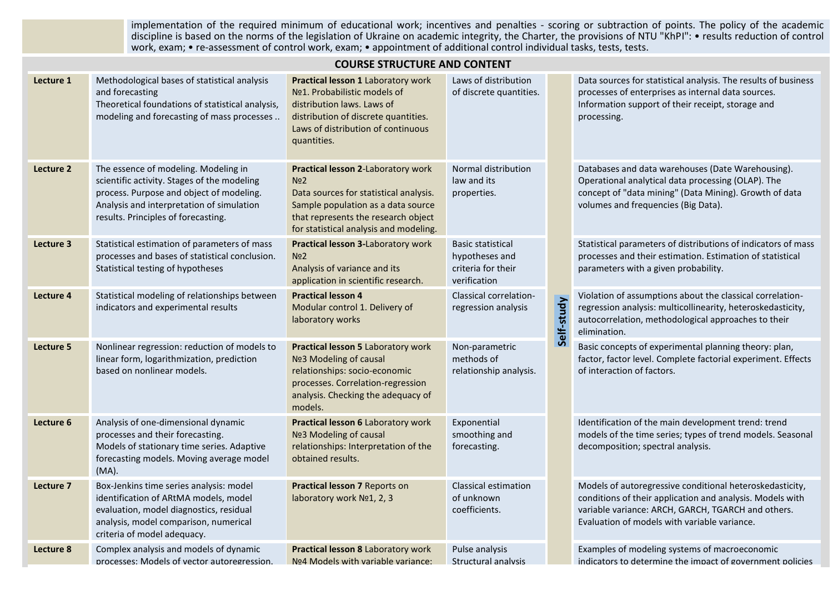implementation of the required minimum of educational work; incentives and penalties - scoring or subtraction of points. The policy of the academic discipline is based on the norms of the legislation of Ukraine on academic integrity, the Charter, the provisions of NTU "KhPI": • results reduction of control work, exam; • re-assessment of control work, exam; • appointment of additional control individual tasks, tests, tests.

|           | <b>COURSE STRUCTURE AND CONTENT</b>                                                                                                                                                                                 |                                                                                                                                                                                                                        |                                                                                  |            |                                                                                                                                                                                                                             |  |  |
|-----------|---------------------------------------------------------------------------------------------------------------------------------------------------------------------------------------------------------------------|------------------------------------------------------------------------------------------------------------------------------------------------------------------------------------------------------------------------|----------------------------------------------------------------------------------|------------|-----------------------------------------------------------------------------------------------------------------------------------------------------------------------------------------------------------------------------|--|--|
| Lecture 1 | Methodological bases of statistical analysis<br>and forecasting<br>Theoretical foundations of statistical analysis,<br>modeling and forecasting of mass processes                                                   | Practical lesson 1 Laboratory work<br>Nº1. Probabilistic models of<br>distribution laws. Laws of<br>distribution of discrete quantities.<br>Laws of distribution of continuous<br>quantities.                          | Laws of distribution<br>of discrete quantities.                                  |            | Data sources for statistical analysis. The results of business<br>processes of enterprises as internal data sources.<br>Information support of their receipt, storage and<br>processing.                                    |  |  |
| Lecture 2 | The essence of modeling. Modeling in<br>scientific activity. Stages of the modeling<br>process. Purpose and object of modeling.<br>Analysis and interpretation of simulation<br>results. Principles of forecasting. | Practical lesson 2-Laboratory work<br>No <sub>2</sub><br>Data sources for statistical analysis.<br>Sample population as a data source<br>that represents the research object<br>for statistical analysis and modeling. | Normal distribution<br>law and its<br>properties.                                |            | Databases and data warehouses (Date Warehousing).<br>Operational analytical data processing (OLAP). The<br>concept of "data mining" (Data Mining). Growth of data<br>volumes and frequencies (Big Data).                    |  |  |
| Lecture 3 | Statistical estimation of parameters of mass<br>processes and bases of statistical conclusion.<br>Statistical testing of hypotheses                                                                                 | Practical lesson 3-Laboratory work<br>No <sub>2</sub><br>Analysis of variance and its<br>application in scientific research.                                                                                           | <b>Basic statistical</b><br>hypotheses and<br>criteria for their<br>verification |            | Statistical parameters of distributions of indicators of mass<br>processes and their estimation. Estimation of statistical<br>parameters with a given probability.                                                          |  |  |
| Lecture 4 | Statistical modeling of relationships between<br>indicators and experimental results                                                                                                                                | <b>Practical lesson 4</b><br>Modular control 1. Delivery of<br>laboratory works                                                                                                                                        | Classical correlation-<br>regression analysis                                    | Self-study | Violation of assumptions about the classical correlation-<br>regression analysis: multicollinearity, heteroskedasticity,<br>autocorrelation, methodological approaches to their<br>elimination.                             |  |  |
| Lecture 5 | Nonlinear regression: reduction of models to<br>linear form, logarithmization, prediction<br>based on nonlinear models.                                                                                             | Practical lesson 5 Laboratory work<br>Nº3 Modeling of causal<br>relationships: socio-economic<br>processes. Correlation-regression<br>analysis. Checking the adequacy of<br>models.                                    | Non-parametric<br>methods of<br>relationship analysis.                           |            | Basic concepts of experimental planning theory: plan,<br>factor, factor level. Complete factorial experiment. Effects<br>of interaction of factors.                                                                         |  |  |
| Lecture 6 | Analysis of one-dimensional dynamic<br>processes and their forecasting.<br>Models of stationary time series. Adaptive<br>forecasting models. Moving average model<br>$(MA)$ .                                       | Practical lesson 6 Laboratory work<br>Nº3 Modeling of causal<br>relationships: Interpretation of the<br>obtained results.                                                                                              | Exponential<br>smoothing and<br>forecasting.                                     |            | Identification of the main development trend: trend<br>models of the time series; types of trend models. Seasonal<br>decomposition; spectral analysis.                                                                      |  |  |
| Lecture 7 | Box-Jenkins time series analysis: model<br>identification of ARtMA models, model<br>evaluation, model diagnostics, residual<br>analysis, model comparison, numerical<br>criteria of model adequacy.                 | Practical lesson 7 Reports on<br>laboratory work Nº1, 2, 3                                                                                                                                                             | Classical estimation<br>of unknown<br>coefficients.                              |            | Models of autoregressive conditional heteroskedasticity,<br>conditions of their application and analysis. Models with<br>variable variance: ARCH, GARCH, TGARCH and others.<br>Evaluation of models with variable variance. |  |  |
| Lecture 8 | Complex analysis and models of dynamic<br>processes: Models of vector autoregression.                                                                                                                               | Practical lesson 8 Laboratory work<br>Nº4 Models with variable variance:                                                                                                                                               | Pulse analysis<br>Structural analysis                                            |            | Examples of modeling systems of macroeconomic<br>indicators to determine the impact of government policies                                                                                                                  |  |  |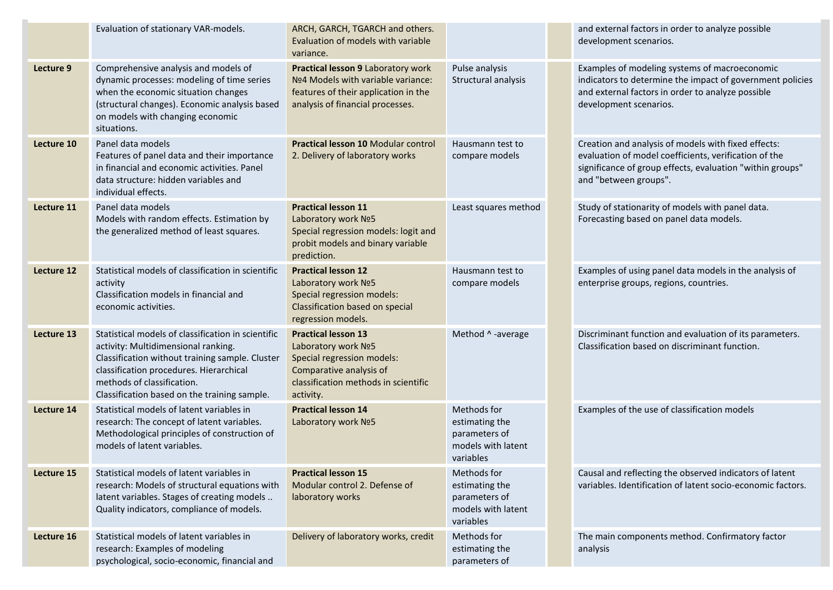|            | Evaluation of stationary VAR-models.                                                                                                                                                                                                                                  | ARCH, GARCH, TGARCH and others.<br>Evaluation of models with variable<br>variance.                                                                                                            |                                                                                   | and external factors in order to analyze possible<br>development scenarios.                                                                                                                        |
|------------|-----------------------------------------------------------------------------------------------------------------------------------------------------------------------------------------------------------------------------------------------------------------------|-----------------------------------------------------------------------------------------------------------------------------------------------------------------------------------------------|-----------------------------------------------------------------------------------|----------------------------------------------------------------------------------------------------------------------------------------------------------------------------------------------------|
| Lecture 9  | Comprehensive analysis and models of<br>dynamic processes: modeling of time series<br>when the economic situation changes<br>(structural changes). Economic analysis based<br>on models with changing economic<br>situations.                                         | Practical lesson 9 Laboratory work<br>Pulse analysis<br>Nº4 Models with variable variance:<br>Structural analysis<br>features of their application in the<br>analysis of financial processes. |                                                                                   | Examples of modeling systems of macroeconomic<br>indicators to determine the impact of government policies<br>and external factors in order to analyze possible<br>development scenarios.          |
| Lecture 10 | Panel data models<br>Features of panel data and their importance<br>in financial and economic activities. Panel<br>data structure: hidden variables and<br>individual effects.                                                                                        | Practical lesson 10 Modular control<br>2. Delivery of laboratory works                                                                                                                        | Hausmann test to<br>compare models                                                | Creation and analysis of models with fixed effects:<br>evaluation of model coefficients, verification of the<br>significance of group effects, evaluation "within groups"<br>and "between groups". |
| Lecture 11 | Panel data models<br>Models with random effects. Estimation by<br>the generalized method of least squares.                                                                                                                                                            | <b>Practical lesson 11</b><br>Laboratory work Nº5<br>Special regression models: logit and<br>probit models and binary variable<br>prediction.                                                 | Least squares method                                                              | Study of stationarity of models with panel data.<br>Forecasting based on panel data models.                                                                                                        |
| Lecture 12 | Statistical models of classification in scientific<br>activity<br>Classification models in financial and<br>economic activities.                                                                                                                                      | <b>Practical lesson 12</b><br>Laboratory work Nº5<br>Special regression models:<br>Classification based on special<br>regression models.                                                      | Hausmann test to<br>compare models                                                | Examples of using panel data models in the analysis of<br>enterprise groups, regions, countries.                                                                                                   |
| Lecture 13 | Statistical models of classification in scientific<br>activity: Multidimensional ranking.<br>Classification without training sample. Cluster<br>classification procedures. Hierarchical<br>methods of classification.<br>Classification based on the training sample. | <b>Practical lesson 13</b><br>Laboratory work Nº5<br>Special regression models:<br>Comparative analysis of<br>classification methods in scientific<br>activity.                               | Method ^ -average                                                                 | Discriminant function and evaluation of its parameters.<br>Classification based on discriminant function.                                                                                          |
| Lecture 14 | Statistical models of latent variables in<br>research: The concept of latent variables.<br>Methodological principles of construction of<br>models of latent variables.                                                                                                | <b>Practical lesson 14</b><br>Laboratory work Nº5                                                                                                                                             | Methods for<br>estimating the<br>parameters of<br>models with latent<br>variables | Examples of the use of classification models                                                                                                                                                       |
| Lecture 15 | Statistical models of latent variables in<br>research: Models of structural equations with<br>latent variables. Stages of creating models<br>Quality indicators, compliance of models.                                                                                | <b>Practical lesson 15</b><br>Modular control 2. Defense of<br>laboratory works                                                                                                               | Methods for<br>estimating the<br>parameters of<br>models with latent<br>variables | Causal and reflecting the observed indicators of latent<br>variables. Identification of latent socio-economic factors.                                                                             |
| Lecture 16 | Statistical models of latent variables in<br>research: Examples of modeling<br>psychological, socio-economic, financial and                                                                                                                                           | Delivery of laboratory works, credit                                                                                                                                                          | Methods for<br>estimating the<br>parameters of                                    | The main components method. Confirmatory factor<br>analysis                                                                                                                                        |